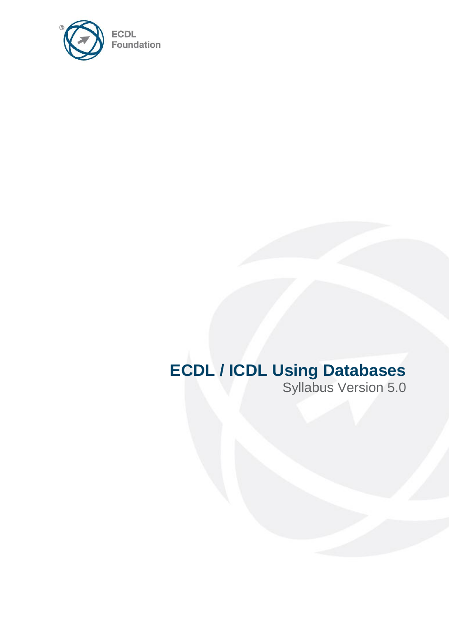

# **ECDL / ICDL Using Databases**

Syllabus Version 5.0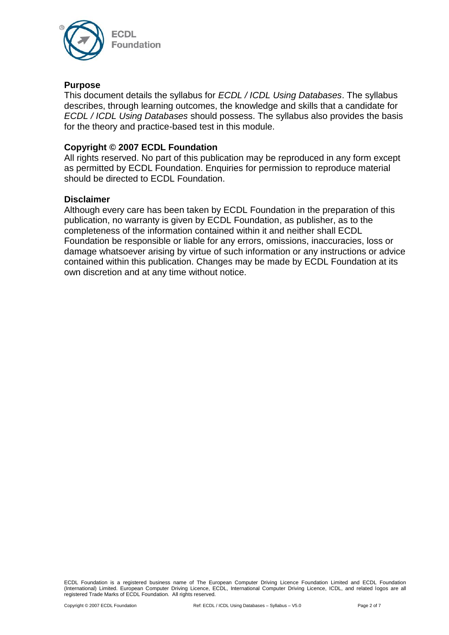

### **Purpose**

This document details the syllabus for *ECDL / ICDL Using Databases*. The syllabus describes, through learning outcomes, the knowledge and skills that a candidate for *ECDL / ICDL Using Databases* should possess. The syllabus also provides the basis for the theory and practice-based test in this module.

## **Copyright © 2007 ECDL Foundation**

All rights reserved. No part of this publication may be reproduced in any form except as permitted by ECDL Foundation. Enquiries for permission to reproduce material should be directed to ECDL Foundation.

#### **Disclaimer**

Although every care has been taken by ECDL Foundation in the preparation of this publication, no warranty is given by ECDL Foundation, as publisher, as to the completeness of the information contained within it and neither shall ECDL Foundation be responsible or liable for any errors, omissions, inaccuracies, loss or damage whatsoever arising by virtue of such information or any instructions or advice contained within this publication. Changes may be made by ECDL Foundation at its own discretion and at any time without notice.

ECDL Foundation is a registered business name of The European Computer Driving Licence Foundation Limited and ECDL Foundation (International) Limited. European Computer Driving Licence, ECDL, International Computer Driving Licence, ICDL, and related logos are all registered Trade Marks of ECDL Foundation. All rights reserved.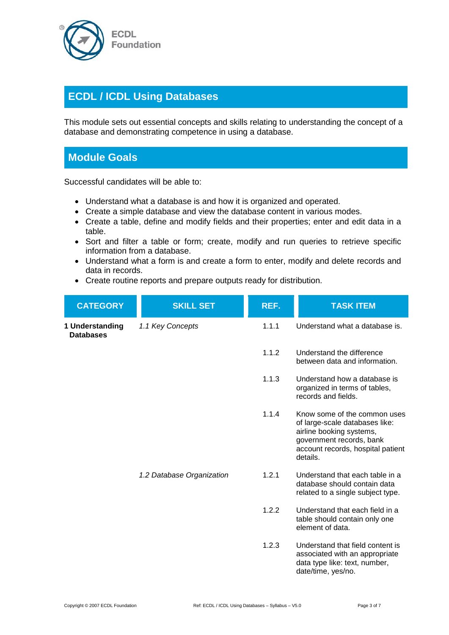

# **ECDL / ICDL Using Databases**

This module sets out essential concepts and skills relating to understanding the concept of a database and demonstrating competence in using a database.

## **Module Goals**

Successful candidates will be able to:

- Understand what a database is and how it is organized and operated.
- Create a simple database and view the database content in various modes.
- Create a table, define and modify fields and their properties; enter and edit data in a table.
- Sort and filter a table or form; create, modify and run queries to retrieve specific information from a database.
- Understand what a form is and create a form to enter, modify and delete records and data in records.
- Create routine reports and prepare outputs ready for distribution.

|  | <b>CATEGORY</b>                     | <b>SKILL SET</b>          | REF.  | <b>TASK ITEM</b>                                                                                                                                                        |
|--|-------------------------------------|---------------------------|-------|-------------------------------------------------------------------------------------------------------------------------------------------------------------------------|
|  | 1 Understanding<br><b>Databases</b> | 1.1 Key Concepts          | 1.1.1 | Understand what a database is.                                                                                                                                          |
|  |                                     |                           | 1.1.2 | Understand the difference<br>between data and information.                                                                                                              |
|  |                                     |                           | 1.1.3 | Understand how a database is<br>organized in terms of tables,<br>records and fields.                                                                                    |
|  |                                     |                           | 1.1.4 | Know some of the common uses<br>of large-scale databases like:<br>airline booking systems,<br>government records, bank<br>account records, hospital patient<br>details. |
|  |                                     | 1.2 Database Organization | 1.2.1 | Understand that each table in a<br>database should contain data<br>related to a single subject type.                                                                    |
|  |                                     |                           | 1.2.2 | Understand that each field in a<br>table should contain only one<br>element of data.                                                                                    |
|  |                                     |                           | 1.2.3 | Understand that field content is<br>associated with an appropriate<br>data type like: text, number,<br>date/time, yes/no.                                               |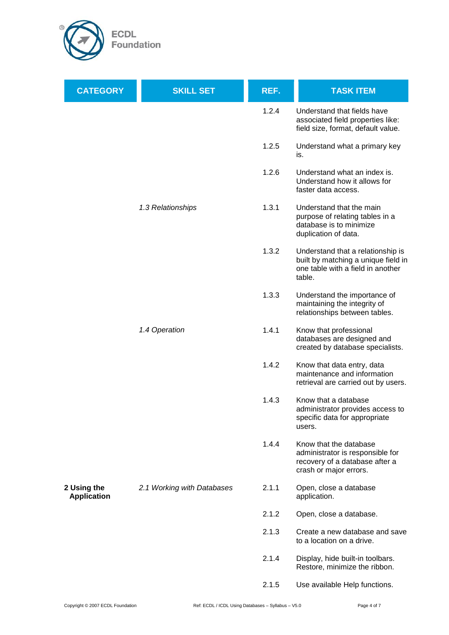

| <b>CATEGORY</b>                   | <b>SKILL SET</b>           | REF.  | <b>TASK ITEM</b>                                                                                                        |
|-----------------------------------|----------------------------|-------|-------------------------------------------------------------------------------------------------------------------------|
|                                   |                            | 1.2.4 | Understand that fields have<br>associated field properties like:<br>field size, format, default value.                  |
|                                   |                            | 1.2.5 | Understand what a primary key<br>is.                                                                                    |
|                                   |                            | 1.2.6 | Understand what an index is.<br>Understand how it allows for<br>faster data access.                                     |
|                                   | 1.3 Relationships          | 1.3.1 | Understand that the main<br>purpose of relating tables in a<br>database is to minimize<br>duplication of data.          |
|                                   |                            | 1.3.2 | Understand that a relationship is<br>built by matching a unique field in<br>one table with a field in another<br>table. |
|                                   |                            | 1.3.3 | Understand the importance of<br>maintaining the integrity of<br>relationships between tables.                           |
|                                   | 1.4 Operation              | 1.4.1 | Know that professional<br>databases are designed and<br>created by database specialists.                                |
|                                   |                            | 1.4.2 | Know that data entry, data<br>maintenance and information<br>retrieval are carried out by users.                        |
|                                   |                            | 1.4.3 | Know that a database<br>administrator provides access to<br>specific data for appropriate<br>users.                     |
|                                   |                            | 1.4.4 | Know that the database<br>administrator is responsible for<br>recovery of a database after a<br>crash or major errors.  |
| 2 Using the<br><b>Application</b> | 2.1 Working with Databases | 2.1.1 | Open, close a database<br>application.                                                                                  |
|                                   |                            | 2.1.2 | Open, close a database.                                                                                                 |
|                                   |                            | 2.1.3 | Create a new database and save<br>to a location on a drive.                                                             |
|                                   |                            | 2.1.4 | Display, hide built-in toolbars.<br>Restore, minimize the ribbon.                                                       |
|                                   |                            | 2.1.5 | Use available Help functions.                                                                                           |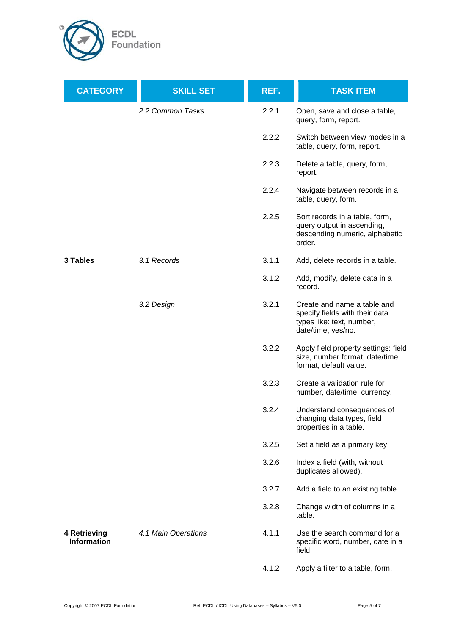

| <b>CATEGORY</b>                    | <b>SKILL SET</b>    | REF.  | <b>TASK ITEM</b>                                                                                                 |
|------------------------------------|---------------------|-------|------------------------------------------------------------------------------------------------------------------|
|                                    | 2.2 Common Tasks    | 2.2.1 | Open, save and close a table,<br>query, form, report.                                                            |
|                                    |                     | 2.2.2 | Switch between view modes in a<br>table, query, form, report.                                                    |
|                                    |                     | 2.2.3 | Delete a table, query, form,<br>report.                                                                          |
|                                    |                     | 2.2.4 | Navigate between records in a<br>table, query, form.                                                             |
|                                    |                     | 2.2.5 | Sort records in a table, form,<br>query output in ascending,<br>descending numeric, alphabetic<br>order.         |
| 3 Tables                           | 3.1 Records         | 3.1.1 | Add, delete records in a table.                                                                                  |
|                                    |                     | 3.1.2 | Add, modify, delete data in a<br>record.                                                                         |
|                                    | 3.2 Design          | 3.2.1 | Create and name a table and<br>specify fields with their data<br>types like: text, number,<br>date/time, yes/no. |
|                                    |                     | 3.2.2 | Apply field property settings: field<br>size, number format, date/time<br>format, default value.                 |
|                                    |                     | 3.2.3 | Create a validation rule for<br>number, date/time, currency.                                                     |
|                                    |                     | 3.2.4 | Understand consequences of<br>changing data types, field<br>properties in a table.                               |
|                                    |                     | 3.2.5 | Set a field as a primary key.                                                                                    |
|                                    |                     | 3.2.6 | Index a field (with, without<br>duplicates allowed).                                                             |
|                                    |                     | 3.2.7 | Add a field to an existing table.                                                                                |
|                                    |                     | 3.2.8 | Change width of columns in a<br>table.                                                                           |
| 4 Retrieving<br><b>Information</b> | 4.1 Main Operations | 4.1.1 | Use the search command for a<br>specific word, number, date in a<br>field.                                       |
|                                    |                     | 4.1.2 | Apply a filter to a table, form.                                                                                 |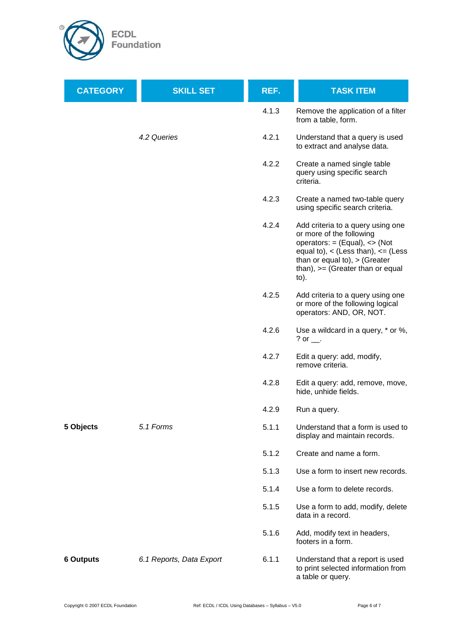

| <b>CATEGORY</b>  | <b>SKILL SET</b>         | REF.  | <b>TASK ITEM</b>                                                                                                                                                                                                                       |
|------------------|--------------------------|-------|----------------------------------------------------------------------------------------------------------------------------------------------------------------------------------------------------------------------------------------|
|                  |                          | 4.1.3 | Remove the application of a filter<br>from a table, form.                                                                                                                                                                              |
|                  | 4.2 Queries              | 4.2.1 | Understand that a query is used<br>to extract and analyse data.                                                                                                                                                                        |
|                  |                          | 4.2.2 | Create a named single table<br>query using specific search<br>criteria.                                                                                                                                                                |
|                  |                          | 4.2.3 | Create a named two-table query<br>using specific search criteria.                                                                                                                                                                      |
|                  |                          | 4.2.4 | Add criteria to a query using one<br>or more of the following<br>operators: $=$ (Equal), $\lt$ (Not<br>equal to), $\lt$ (Less than), $\lt$ = (Less<br>than or equal to), $>$ (Greater<br>than), $>=$ (Greater than or equal<br>$to)$ . |
|                  |                          | 4.2.5 | Add criteria to a query using one<br>or more of the following logical<br>operators: AND, OR, NOT.                                                                                                                                      |
|                  |                          | 4.2.6 | Use a wildcard in a query, * or %,<br>? or $\_\_$ .                                                                                                                                                                                    |
|                  |                          | 4.2.7 | Edit a query: add, modify,<br>remove criteria.                                                                                                                                                                                         |
|                  |                          | 4.2.8 | Edit a query: add, remove, move,<br>hide, unhide fields.                                                                                                                                                                               |
|                  |                          | 4.2.9 | Run a query.                                                                                                                                                                                                                           |
| 5 Objects        | 5.1 Forms                | 5.1.1 | Understand that a form is used to<br>display and maintain records.                                                                                                                                                                     |
|                  |                          | 5.1.2 | Create and name a form.                                                                                                                                                                                                                |
|                  |                          | 5.1.3 | Use a form to insert new records.                                                                                                                                                                                                      |
|                  |                          | 5.1.4 | Use a form to delete records.                                                                                                                                                                                                          |
|                  |                          | 5.1.5 | Use a form to add, modify, delete<br>data in a record.                                                                                                                                                                                 |
|                  |                          | 5.1.6 | Add, modify text in headers,<br>footers in a form.                                                                                                                                                                                     |
| <b>6 Outputs</b> | 6.1 Reports, Data Export | 6.1.1 | Understand that a report is used<br>to print selected information from<br>a table or query.                                                                                                                                            |